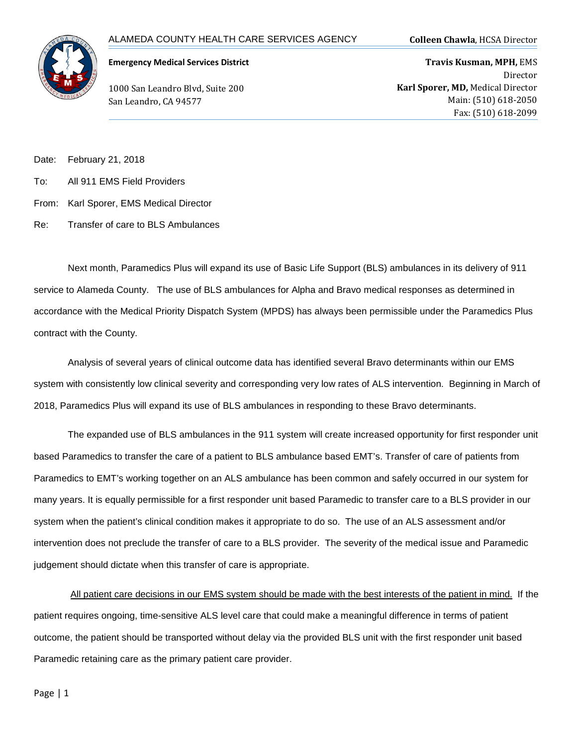

## **Emergency Medical Services District**

1000 San Leandro Blvd, Suite 200 San Leandro, CA 94577

**Travis Kusman, MPH,** EMS Director **Karl Sporer, MD,** Medical Director Main: (510) 618-2050 Fax: (510) 618-2099

Date: February 21, 2018

- To: All 911 EMS Field Providers
- From: Karl Sporer, EMS Medical Director
- Re: Transfer of care to BLS Ambulances

Next month, Paramedics Plus will expand its use of Basic Life Support (BLS) ambulances in its delivery of 911 service to Alameda County. The use of BLS ambulances for Alpha and Bravo medical responses as determined in accordance with the Medical Priority Dispatch System (MPDS) has always been permissible under the Paramedics Plus contract with the County.

Analysis of several years of clinical outcome data has identified several Bravo determinants within our EMS system with consistently low clinical severity and corresponding very low rates of ALS intervention. Beginning in March of 2018, Paramedics Plus will expand its use of BLS ambulances in responding to these Bravo determinants.

The expanded use of BLS ambulances in the 911 system will create increased opportunity for first responder unit based Paramedics to transfer the care of a patient to BLS ambulance based EMT's. Transfer of care of patients from Paramedics to EMT's working together on an ALS ambulance has been common and safely occurred in our system for many years. It is equally permissible for a first responder unit based Paramedic to transfer care to a BLS provider in our system when the patient's clinical condition makes it appropriate to do so. The use of an ALS assessment and/or intervention does not preclude the transfer of care to a BLS provider. The severity of the medical issue and Paramedic judgement should dictate when this transfer of care is appropriate.

All patient care decisions in our EMS system should be made with the best interests of the patient in mind. If the patient requires ongoing, time-sensitive ALS level care that could make a meaningful difference in terms of patient outcome, the patient should be transported without delay via the provided BLS unit with the first responder unit based Paramedic retaining care as the primary patient care provider.